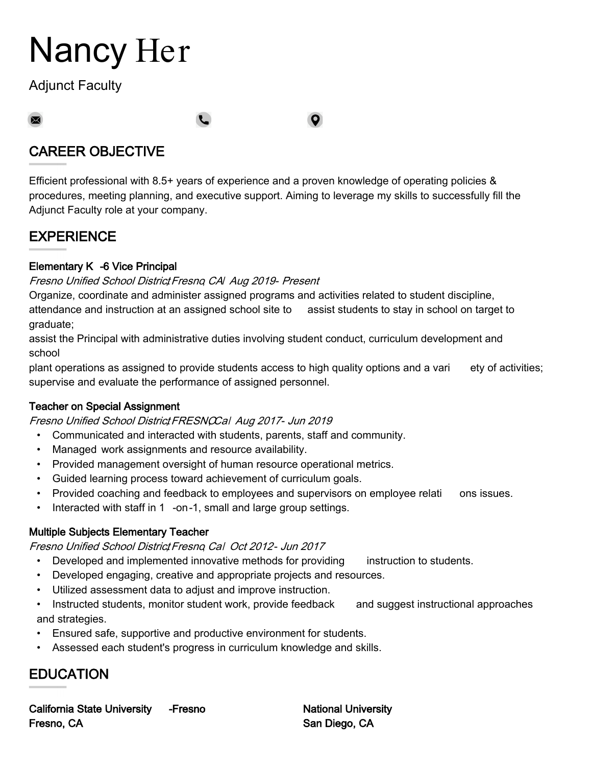# Nancy Her

Adjunct Faculty

 $\boxtimes$ 

# CAREER OBJECTIVE

Efficient professional with 8.5+ years of experience and a proven knowledge of operating policies & procedures, meeting planning, and executive support. Aiming to leverage my skills to successfully fill the Adjunct Faculty role at your company.

 $\bullet$ 

## EXPERIENCE

#### Elementary K -6 Vice Principal

#### Fresno Unified School District Fresno, CAI Aug 2019- Present

Organize, coordinate and administer assigned programs and activities related to student discipline, attendance and instruction at an assigned school site to assist students to stay in school on target to graduate;

assist the Principal with administrative duties involving student conduct, curriculum development and school

plant operations as assigned to provide students access to high quality options and a vari ety of activities; supervise and evaluate the performance of assigned personnel.

#### Teacher on Special Assignment

Fresno Unified School District FRESNOCal Aug 2017- Jun 2019

- Communicated and interacted with students, parents, staff and community.
- Managed work assignments and resource availability.
- Provided management oversight of human resource operational metrics.
- Guided learning process toward achievement of curriculum goals.
- Provided coaching and feedback to employees and supervisors on employee relati ons issues.
- Interacted with staff in 1 -on-1, small and large group settings.

#### Multiple Subjects Elementary Teacher

Fresno Unified School District Fresno, Cal Oct 2012- Jun 2017

- Developed and implemented innovative methods for providing instruction to students.
- Developed engaging, creative and appropriate projects and resources.
- Utilized assessment data to adjust and improve instruction.
- Instructed students, monitor student work, provide feedback and suggest instructional approaches and strategies.
- Ensured safe, supportive and productive environment for students.
- Assessed each student's progress in curriculum knowledge and skills.

# EDUCATION

California State University -Fresno Fresno, CA

National University San Diego, CA